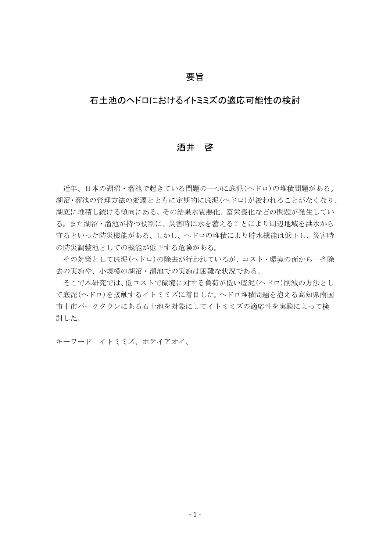## 要旨

## 石土池のヘドロにおけるイトミミズの適応可能性の検討

#### 酒井 啓

近年、日本の湖沼・溜池で起きている問題の一つに底泥(ヘドロ)の堆積問題がある。 湖沼・溜池の管理方法の変遷とともに定期的に底泥(ヘドロ)が浚われることがなくなり、 湖底に堆積し続ける傾向にある。その結果水質悪化、富栄養化などの問題が発生してい る。また湖沼・溜池が持つ役割に、災害時に水を蓄えることにより周辺地域を洪水から 守るといった防災機能がある、しかし、ヘドロの堆積により貯水機能は低下し、災害時 の防災調整池としての機能が低下する危険がある。

その対策として底泥(ヘドロ)の除去が行われているが、コスト・環境の面から一斉除 去の実施や、小規模の湖沼・溜池での実施は困難な状況である。

そこで本研究では、低コストで環境に対する負荷が低い底泥(ヘドロ)削減の方法とし て底泥(ヘドロ)を接触するイトミミズに着目した。ヘドロ堆積問題を抱える高知県南国 市十市パークタウンにある石土池を対象にしてイトミミズの適応性を実験によって検 討した。

キーワード イトミミズ、ホテイアオイ、